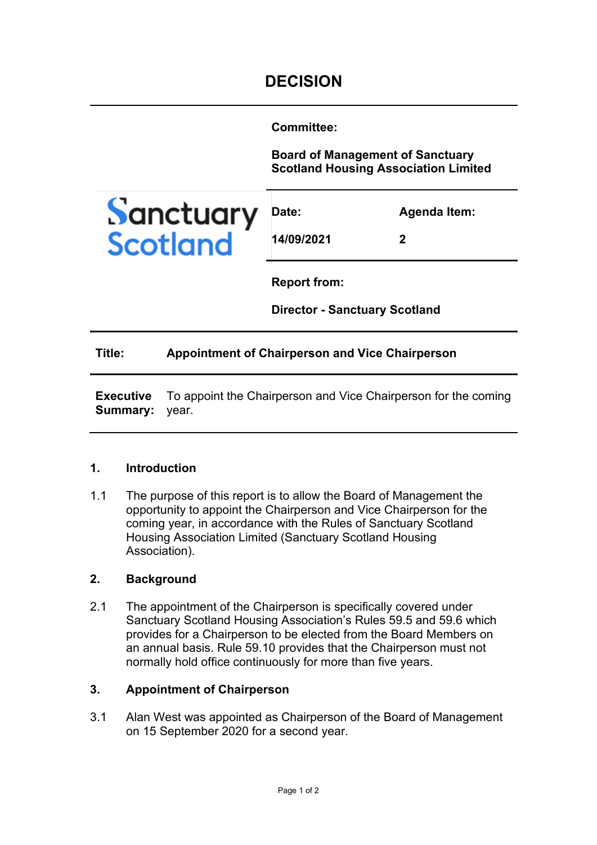**Committee:** 

**Board of Management of Sanctuary Scotland Housing Association Limited**



| Date:      | <b>Agenda Item:</b> |
|------------|---------------------|
| 14/09/2021 | 2                   |

**Report from:** 

**Director - Sanctuary Scotland**

### **Title: Appointment of Chairperson and Vice Chairperson**

**Executive Summary:**  To appoint the Chairperson and Vice Chairperson for the coming year.

### **1. Introduction**

1.1 The purpose of this report is to allow the Board of Management the opportunity to appoint the Chairperson and Vice Chairperson for the coming year, in accordance with the Rules of Sanctuary Scotland Housing Association Limited (Sanctuary Scotland Housing Association).

### **2. Background**

2.1 The appointment of the Chairperson is specifically covered under Sanctuary Scotland Housing Association's Rules 59.5 and 59.6 which provides for a Chairperson to be elected from the Board Members on an annual basis. Rule 59.10 provides that the Chairperson must not normally hold office continuously for more than five years.

### **3. Appointment of Chairperson**

3.1 Alan West was appointed as Chairperson of the Board of Management on 15 September 2020 for a second year.